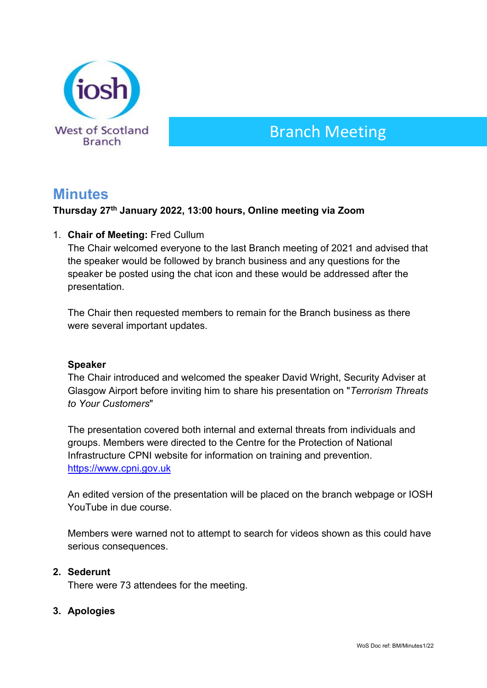

# Branch Meeting

# **Minutes**

# **Thursday 27th January 2022, 13:00 hours, Online meeting via Zoom**

# 1. **Chair of Meeting:** Fred Cullum

The Chair welcomed everyone to the last Branch meeting of 2021 and advised that the speaker would be followed by branch business and any questions for the speaker be posted using the chat icon and these would be addressed after the presentation.

The Chair then requested members to remain for the Branch business as there were several important updates.

#### **Speaker**

The Chair introduced and welcomed the speaker David Wright, Security Adviser at Glasgow Airport before inviting him to share his presentation on "*Terrorism Threats to Your Customers*"

The presentation covered both internal and external threats from individuals and groups. Members were directed to the Centre for the Protection of National Infrastructure CPNI website for information on training and prevention. [https://www.cpni.gov.uk](https://www.cpni.gov.uk/)

An edited version of the presentation will be placed on the branch webpage or IOSH YouTube in due course.

Members were warned not to attempt to search for videos shown as this could have serious consequences.

# **2. Sederunt**

There were 73 attendees for the meeting.

# **3. Apologies**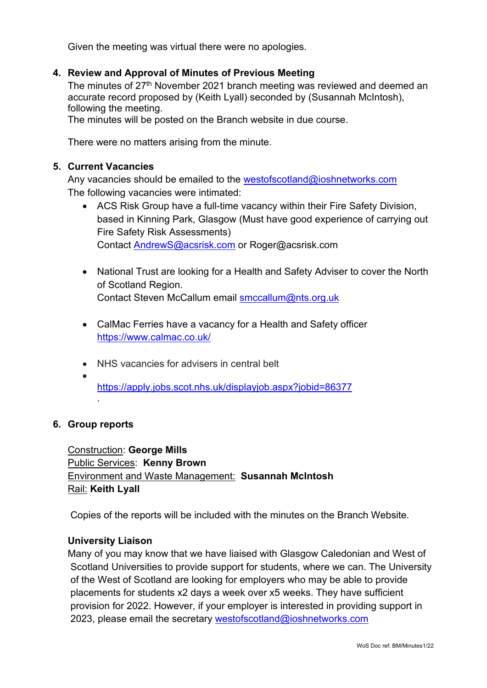Given the meeting was virtual there were no apologies.

#### **4. Review and Approval of Minutes of Previous Meeting**

The minutes of 27<sup>th</sup> November 2021 branch meeting was reviewed and deemed an accurate record proposed by (Keith Lyall) seconded by (Susannah McIntosh), following the meeting.

The minutes will be posted on the Branch website in due course.

There were no matters arising from the minute.

#### **5. Current Vacancies**

Any vacancies should be emailed to the westofscotland@ioshnetworks.com The following vacancies were intimated:

- ACS Risk Group have a full-time vacancy within their Fire Safety Division, based in Kinning Park, Glasgow (Must have good experience of carrying out Fire Safety Risk Assessments) Contact [AndrewS@acsrisk.com](mailto:AndrewS@acsrisk.com) or Roger@acsrisk.com
- National Trust are looking for a Health and Safety Adviser to cover the North of Scotland Region. Contact Steven McCallum email [smccallum@nts.org.uk](mailto:smccallum@nts.org.uk)
- CalMac Ferries have a vacancy for a Health and Safety officer <https://www.calmac.co.uk/>
- NHS vacancies for advisers in central belt
- <https://apply.jobs.scot.nhs.uk/displayjob.aspx?jobid=86377> .

#### **6. Group reports**

Construction: **George Mills** Public Services: **Kenny Brown** Environment and Waste Management: **Susannah McIntosh** Rail: **Keith Lyall**

Copies of the reports will be included with the minutes on the Branch Website.

#### **University Liaison**

Many of you may know that we have liaised with Glasgow Caledonian and West of Scotland Universities to provide support for students, where we can. The University of the West of Scotland are looking for employers who may be able to provide placements for students x2 days a week over x5 weeks. They have sufficient provision for 2022. However, if your employer is interested in providing support in 2023, please email the secretary [westofscotland@ioshnetworks.com](about:blank)